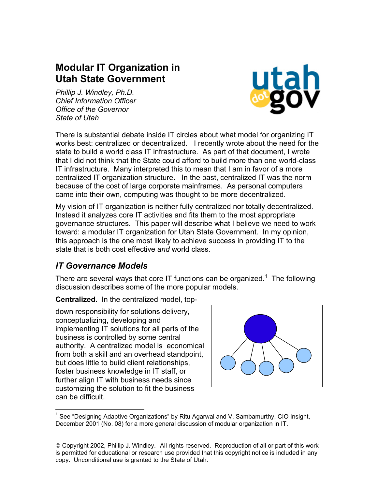# **Modular IT Organization in Utah State Government**

*Phillip J. Windley, Ph.D. Chief Information Officer Office of the Governor State of Utah* 



There is substantial debate inside IT circles about what model for organizing IT works best: centralized or decentralized. I recently wrote about the need for the state to build a world class IT infrastructure. As part of that document, I wrote that I did not think that the State could afford to build more than one world-class IT infrastructure. Many interpreted this to mean that I am in favor of a more centralized IT organization structure. In the past, centralized IT was the norm because of the cost of large corporate mainframes. As personal computers came into their own, computing was thought to be more decentralized.

My vision of IT organization is neither fully centralized nor totally decentralized. Instead it analyzes core IT activities and fits them to the most appropriate governance structures. This paper will describe what I believe we need to work toward: a modular IT organization for Utah State Government. In my opinion, this approach is the one most likely to achieve success in providing IT to the state that is both cost effective *and* world class.

#### *IT Governance Models*

There are several ways that core IT functions can be organized.<sup>[1](#page-0-0)</sup> The following discussion describes some of the more popular models.

**Centralized.** In the centralized model, top-

 down responsibility for solutions delivery, conceptualizing, developing and implementing IT solutions for all parts of the business is controlled by some central authority. A centralized model is economical from both a skill and an overhead standpoint, but does little to build client relationships, foster business knowledge in IT staff, or further align IT with business needs since customizing the solution to fit the business can be difficult.



 <sup>1</sup> See "Designing Adaptive Organizations" by Ritu Agarwal and V. Sambamurthy, CIO Insight, December 2001 (No. 08) for a more general discussion of modular organization in IT.

<span id="page-0-0"></span>Copyright 2002, Phillip J. Windley. All rights reserved. Reproduction of all or part of this work is permitted for educational or research use provided that this copyright notice is included in any copy. Unconditional use is granted to the State of Utah.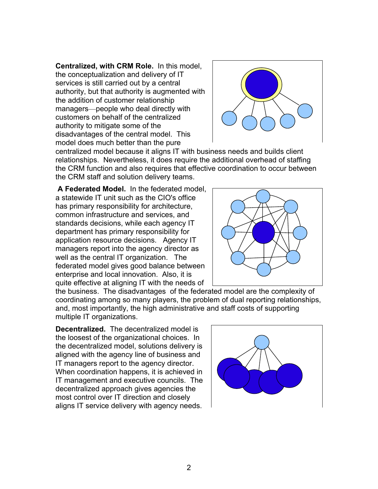**Centralized, with CRM Role.** In this model, the conceptualization and delivery of IT services is still carried out by a central authority, but that authority is augmented with the addition of customer relationship managers—people who deal directly with customers on behalf of the centralized authority to mitigate some of the disadvantages of the central model. This model does much better than the pure



centralized model because it aligns IT with business needs and builds client relationships. Nevertheless, it does require the additional overhead of staffing the CRM function and also requires that effective coordination to occur between the CRM staff and solution delivery teams.

**A Federated Model.** In the federated model, a statewide IT unit such as the CIO's office has primary responsibility for architecture, common infrastructure and services, and standards decisions, while each agency IT department has primary responsibility for application resource decisions. Agency IT managers report into the agency director as well as the central IT organization. The federated model gives good balance between enterprise and local innovation. Also, it is quite effective at aligning IT with the needs of



the business. The disadvantages of the federated model are the complexity of coordinating among so many players, the problem of dual reporting relationships, and, most importantly, the high administrative and staff costs of supporting multiple IT organizations.

**Decentralized.** The decentralized model is the loosest of the organizational choices. In the decentralized model, solutions delivery is aligned with the agency line of business and IT managers report to the agency director. When coordination happens, it is achieved in IT management and executive councils. The decentralized approach gives agencies the most control over IT direction and closely aligns IT service delivery with agency needs.

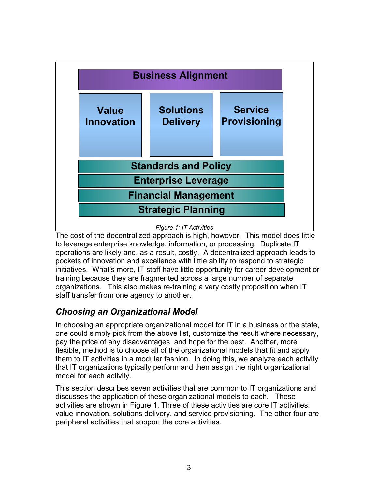

The cost of the decentralized approach is high, however. This model does little to leverage enterprise knowledge, information, or processing. Duplicate IT operations are likely and, as a result, costly. A decentralized approach leads to pockets of innovation and excellence with little ability to respond to strategic initiatives. What's more, IT staff have little opportunity for career development or training because they are fragmented across a large number of separate organizations. This also makes re-training a very costly proposition when IT staff transfer from one agency to another.

## *Choosing an Organizational Model*

In choosing an appropriate organizational model for IT in a business or the state, one could simply pick from the above list, customize the result where necessary, pay the price of any disadvantages, and hope for the best. Another, more flexible, method is to choose all of the organizational models that fit and apply them to IT activities in a modular fashion. In doing this, we analyze each activity that IT organizations typically perform and then assign the right organizational model for each activity.

This section describes seven activities that are common to IT organizations and discusses the application of these organizational models to each. These activities are shown in Figure 1. Three of these activities are core IT activities: value innovation, solutions delivery, and service provisioning. The other four are peripheral activities that support the core activities.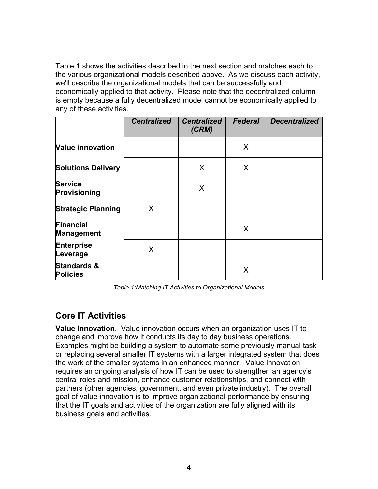Table 1 shows the activities described in the next section and matches each to the various organizational models described above. As we discuss each activity, we'll describe the organizational models that can be successfully and economically applied to that activity. Please note that the decentralized column is empty because a fully decentralized model cannot be economically applied to any of these activities.

|                                           | <b>Centralized</b> | <b>Centralized</b><br>(CRM) | <b>Federal</b> | <b>Decentralized</b> |
|-------------------------------------------|--------------------|-----------------------------|----------------|----------------------|
| <b>Value innovation</b>                   |                    |                             | X              |                      |
| <b>Solutions Delivery</b>                 |                    | $\mathsf{X}$                | X              |                      |
| <b>Service</b><br>Provisioning            |                    | X                           |                |                      |
| <b>Strategic Planning</b>                 | X                  |                             |                |                      |
| <b>Financial</b><br><b>Management</b>     |                    |                             | X              |                      |
| <b>Enterprise</b><br>Leverage             | X                  |                             |                |                      |
| <b>Standards &amp;</b><br><b>Policies</b> |                    |                             | X              |                      |

*Table 1:Matching IT Activities to Organizational Models* 

#### **Core IT Activities**

**Value Innovation**. Value innovation occurs when an organization uses IT to change and improve how it conducts its day to day business operations. Examples might be building a system to automate some previously manual task or replacing several smaller IT systems with a larger integrated system that does the work of the smaller systems in an enhanced manner. Value innovation requires an ongoing analysis of how IT can be used to strengthen an agency's central roles and mission, enhance customer relationships, and connect with partners (other agencies, government, and even private industry). The overall goal of value innovation is to improve organizational performance by ensuring that the IT goals and activities of the organization are fully aligned with its business goals and activities.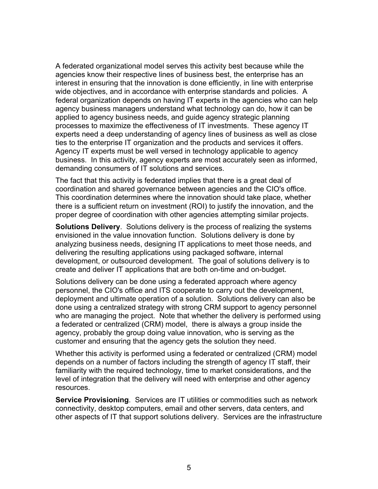A federated organizational model serves this activity best because while the agencies know their respective lines of business best, the enterprise has an interest in ensuring that the innovation is done efficiently, in line with enterprise wide objectives, and in accordance with enterprise standards and policies. A federal organization depends on having IT experts in the agencies who can help agency business managers understand what technology can do, how it can be applied to agency business needs, and guide agency strategic planning processes to maximize the effectiveness of IT investments. These agency IT experts need a deep understanding of agency lines of business as well as close ties to the enterprise IT organization and the products and services it offers. Agency IT experts must be well versed in technology applicable to agency business. In this activity, agency experts are most accurately seen as informed, demanding consumers of IT solutions and services.

The fact that this activity is federated implies that there is a great deal of coordination and shared governance between agencies and the CIO's office. This coordination determines where the innovation should take place, whether there is a sufficient return on investment (ROI) to justify the innovation, and the proper degree of coordination with other agencies attempting similar projects.

**Solutions Delivery**. Solutions delivery is the process of realizing the systems envisioned in the value innovation function. Solutions delivery is done by analyzing business needs, designing IT applications to meet those needs, and delivering the resulting applications using packaged software, internal development, or outsourced development. The goal of solutions delivery is to create and deliver IT applications that are both on-time and on-budget.

Solutions delivery can be done using a federated approach where agency personnel, the CIO's office and ITS cooperate to carry out the development, deployment and ultimate operation of a solution. Solutions delivery can also be done using a centralized strategy with strong CRM support to agency personnel who are managing the project. Note that whether the delivery is performed using a federated or centralized (CRM) model, there is always a group inside the agency, probably the group doing value innovation, who is serving as the customer and ensuring that the agency gets the solution they need.

Whether this activity is performed using a federated or centralized (CRM) model depends on a number of factors including the strength of agency IT staff, their familiarity with the required technology, time to market considerations, and the level of integration that the delivery will need with enterprise and other agency resources.

**Service Provisioning**. Services are IT utilities or commodities such as network connectivity, desktop computers, email and other servers, data centers, and other aspects of IT that support solutions delivery. Services are the infrastructure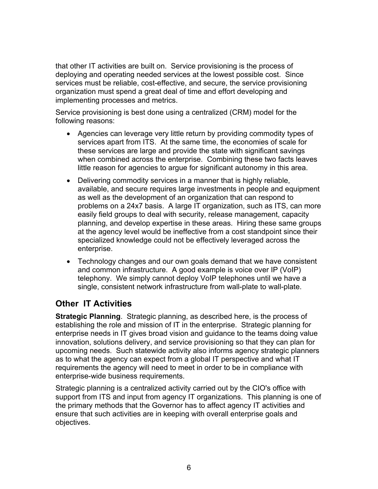that other IT activities are built on. Service provisioning is the process of deploying and operating needed services at the lowest possible cost. Since services must be reliable, cost-effective, and secure, the service provisioning organization must spend a great deal of time and effort developing and implementing processes and metrics.

Service provisioning is best done using a centralized (CRM) model for the following reasons:

- Agencies can leverage very little return by providing commodity types of services apart from ITS. At the same time, the economies of scale for these services are large and provide the state with significant savings when combined across the enterprise. Combining these two facts leaves little reason for agencies to argue for significant autonomy in this area.
- Delivering commodity services in a manner that is highly reliable, available, and secure requires large investments in people and equipment as well as the development of an organization that can respond to problems on a 24x7 basis. A large IT organization, such as ITS, can more easily field groups to deal with security, release management, capacity planning, and develop expertise in these areas. Hiring these same groups at the agency level would be ineffective from a cost standpoint since their specialized knowledge could not be effectively leveraged across the enterprise.
- Technology changes and our own goals demand that we have consistent and common infrastructure. A good example is voice over IP (VoIP) telephony. We simply cannot deploy VoIP telephones until we have a single, consistent network infrastructure from wall-plate to wall-plate.

#### **Other IT Activities**

**Strategic Planning**. Strategic planning, as described here, is the process of establishing the role and mission of IT in the enterprise. Strategic planning for enterprise needs in IT gives broad vision and guidance to the teams doing value innovation, solutions delivery, and service provisioning so that they can plan for upcoming needs. Such statewide activity also informs agency strategic planners as to what the agency can expect from a global IT perspective and what IT requirements the agency will need to meet in order to be in compliance with enterprise-wide business requirements.

Strategic planning is a centralized activity carried out by the CIO's office with support from ITS and input from agency IT organizations. This planning is one of the primary methods that the Governor has to affect agency IT activities and ensure that such activities are in keeping with overall enterprise goals and objectives.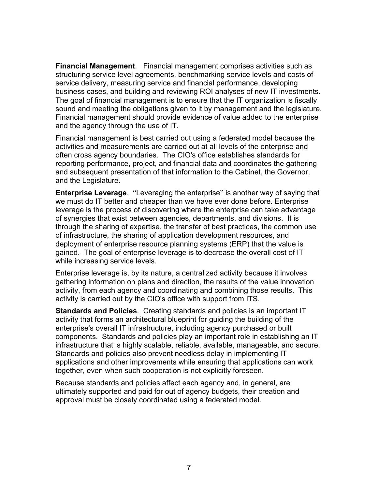**Financial Management**. Financial management comprises activities such as structuring service level agreements, benchmarking service levels and costs of service delivery, measuring service and financial performance, developing business cases, and building and reviewing ROI analyses of new IT investments. The goal of financial management is to ensure that the IT organization is fiscally sound and meeting the obligations given to it by management and the legislature. Financial management should provide evidence of value added to the enterprise and the agency through the use of IT.

Financial management is best carried out using a federated model because the activities and measurements are carried out at all levels of the enterprise and often cross agency boundaries. The CIO's office establishes standards for reporting performance, project, and financial data and coordinates the gathering and subsequent presentation of that information to the Cabinet, the Governor, and the Legislature.

**Enterprise Leverage**. "Leveraging the enterprise" is another way of saying that we must do IT better and cheaper than we have ever done before. Enterprise leverage is the process of discovering where the enterprise can take advantage of synergies that exist between agencies, departments, and divisions. It is through the sharing of expertise, the transfer of best practices, the common use of infrastructure, the sharing of application development resources, and deployment of enterprise resource planning systems (ERP) that the value is gained. The goal of enterprise leverage is to decrease the overall cost of IT while increasing service levels.

Enterprise leverage is, by its nature, a centralized activity because it involves gathering information on plans and direction, the results of the value innovation activity, from each agency and coordinating and combining those results. This activity is carried out by the CIO's office with support from ITS.

**Standards and Policies**. Creating standards and policies is an important IT activity that forms an architectural blueprint for guiding the building of the enterprise's overall IT infrastructure, including agency purchased or built components. Standards and policies play an important role in establishing an IT infrastructure that is highly scalable, reliable, available, manageable, and secure. Standards and policies also prevent needless delay in implementing IT applications and other improvements while ensuring that applications can work together, even when such cooperation is not explicitly foreseen.

Because standards and policies affect each agency and, in general, are ultimately supported and paid for out of agency budgets, their creation and approval must be closely coordinated using a federated model.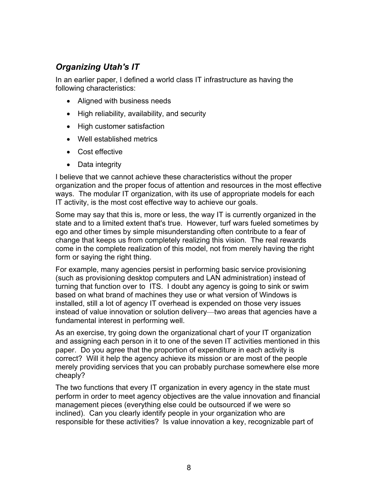## *Organizing Utah's IT*

In an earlier paper, I defined a world class IT infrastructure as having the following characteristics:

- Aligned with business needs
- High reliability, availability, and security
- High customer satisfaction
- Well established metrics
- Cost effective
- Data integrity

I believe that we cannot achieve these characteristics without the proper organization and the proper focus of attention and resources in the most effective ways. The modular IT organization, with its use of appropriate models for each IT activity, is the most cost effective way to achieve our goals.

Some may say that this is, more or less, the way IT is currently organized in the state and to a limited extent that's true. However, turf wars fueled sometimes by ego and other times by simple misunderstanding often contribute to a fear of change that keeps us from completely realizing this vision. The real rewards come in the complete realization of this model, not from merely having the right form or saying the right thing.

For example, many agencies persist in performing basic service provisioning (such as provisioning desktop computers and LAN administration) instead of turning that function over to ITS. I doubt any agency is going to sink or swim based on what brand of machines they use or what version of Windows is installed, still a lot of agency IT overhead is expended on those very issues instead of value innovation or solution delivery—two areas that agencies have a fundamental interest in performing well.

As an exercise, try going down the organizational chart of your IT organization and assigning each person in it to one of the seven IT activities mentioned in this paper. Do you agree that the proportion of expenditure in each activity is correct? Will it help the agency achieve its mission or are most of the people merely providing services that you can probably purchase somewhere else more cheaply?

The two functions that every IT organization in every agency in the state must perform in order to meet agency objectives are the value innovation and financial management pieces (everything else could be outsourced if we were so inclined). Can you clearly identify people in your organization who are responsible for these activities? Is value innovation a key, recognizable part of